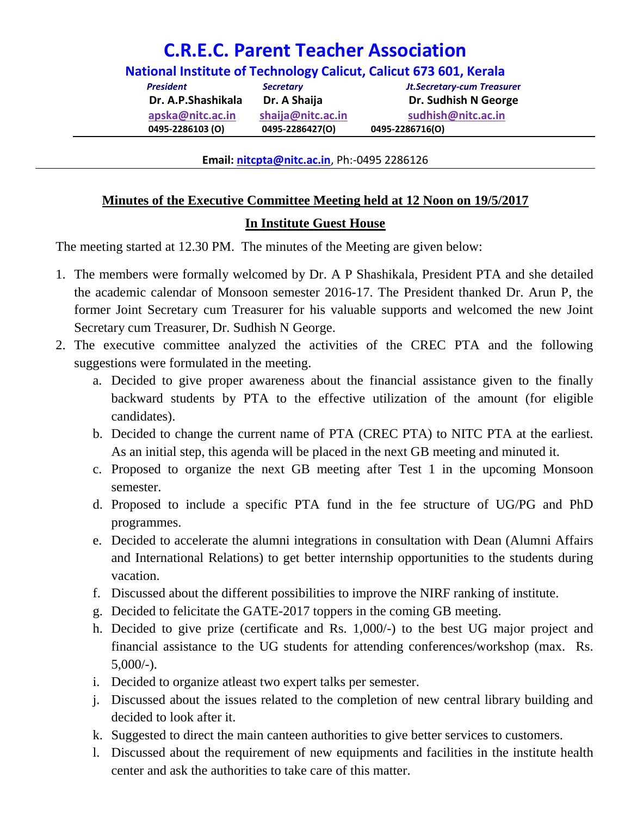## **C.R.E.C. Parent Teacher Association**

**National Institute of Technology Calicut, Calicut 673 601, Kerala**

*President Secretary Jt.Secretary-cum Treasure***r Dr. A.P.Shashikala Dr. A Shaija Dr. Sudhish N George [apska@nitc.ac.in](mailto:apska@nitc.ac.in) shaija@nitc.ac.in sudhish@nitc.ac.in 0495-2286103 (O) 0495-2286427(O) 0495-2286716(O)**

**Email: [nitcpta@nitc.ac.in](mailto:nitcpta@nitc.ac.in)**, Ph:-0495 2286126

## **Minutes of the Executive Committee Meeting held at 12 Noon on 19/5/2017 In Institute Guest House**

The meeting started at 12.30 PM. The minutes of the Meeting are given below:

- 1. The members were formally welcomed by Dr. A P Shashikala, President PTA and she detailed the academic calendar of Monsoon semester 2016-17. The President thanked Dr. Arun P, the former Joint Secretary cum Treasurer for his valuable supports and welcomed the new Joint Secretary cum Treasurer, Dr. Sudhish N George.
- 2. The executive committee analyzed the activities of the CREC PTA and the following suggestions were formulated in the meeting.
	- a. Decided to give proper awareness about the financial assistance given to the finally backward students by PTA to the effective utilization of the amount (for eligible candidates).
	- b. Decided to change the current name of PTA (CREC PTA) to NITC PTA at the earliest. As an initial step, this agenda will be placed in the next GB meeting and minuted it.
	- c. Proposed to organize the next GB meeting after Test 1 in the upcoming Monsoon semester.
	- d. Proposed to include a specific PTA fund in the fee structure of UG/PG and PhD programmes.
	- e. Decided to accelerate the alumni integrations in consultation with Dean (Alumni Affairs and International Relations) to get better internship opportunities to the students during vacation.
	- f. Discussed about the different possibilities to improve the NIRF ranking of institute.
	- g. Decided to felicitate the GATE-2017 toppers in the coming GB meeting.
	- h. Decided to give prize (certificate and Rs. 1,000/-) to the best UG major project and financial assistance to the UG students for attending conferences/workshop (max. Rs.  $5,000/-$ ).
	- i. Decided to organize atleast two expert talks per semester.
	- j. Discussed about the issues related to the completion of new central library building and decided to look after it.
	- k. Suggested to direct the main canteen authorities to give better services to customers.
	- l. Discussed about the requirement of new equipments and facilities in the institute health center and ask the authorities to take care of this matter.